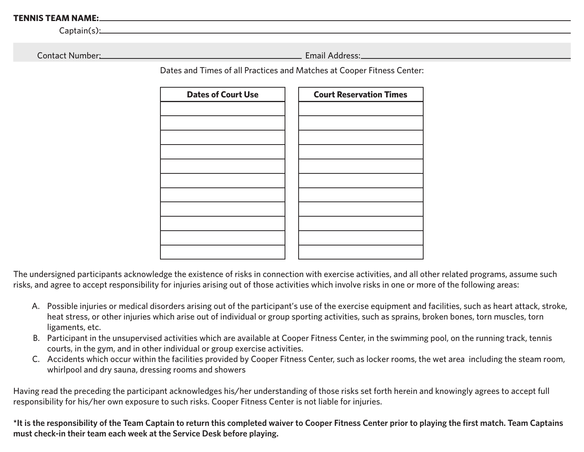## **TENNIS TEAM NAME:**

 $C$ aptain $(s)$ :

Contact Number:

Email Address:

Dates and Times of all Practices and Matches at Cooper Fitness Center:

| <b>Dates of Court Use</b> | <b>Court Reservation Times</b> |  |
|---------------------------|--------------------------------|--|
|                           |                                |  |
|                           |                                |  |
|                           |                                |  |
|                           |                                |  |
|                           |                                |  |
|                           |                                |  |
|                           |                                |  |
|                           |                                |  |
|                           |                                |  |
|                           |                                |  |
|                           |                                |  |

The undersigned participants acknowledge the existence of risks in connection with exercise activities, and all other related programs, assume such risks, and agree to accept responsibility for injuries arising out of those activities which involve risks in one or more of the following areas:

- A. Possible injuries or medical disorders arising out of the participant's use of the exercise equipment and facilities, such as heart attack, stroke, heat stress, or other injuries which arise out of individual or group sporting activities, such as sprains, broken bones, torn muscles, torn ligaments, etc.
- B. Participant in the unsupervised activities which are available at Cooper Fitness Center, in the swimming pool, on the running track, tennis courts, in the gym, and in other individual or group exercise activities.
- C. Accidents which occur within the facilities provided by Cooper Fitness Center, such as locker rooms, the wet area including the steam room, whirlpool and dry sauna, dressing rooms and showers

Having read the preceding the participant acknowledges his/her understanding of those risks set forth herein and knowingly agrees to accept full responsibility for his/her own exposure to such risks. Cooper Fitness Center is not liable for injuries.

**\*It is the responsibility of the Team Captain to return this completed waiver to Cooper Fitness Center prior to playing the first match. Team Captains must check-in their team each week at the Service Desk before playing.**